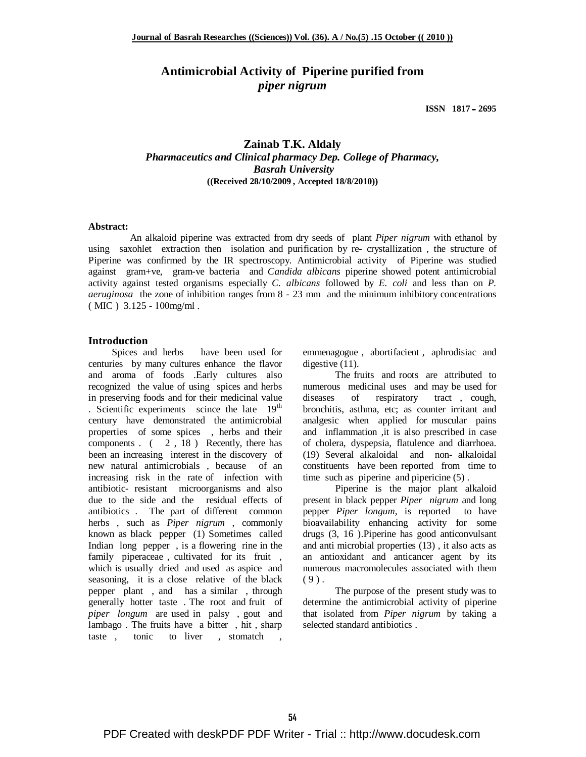## **Antimicrobial Activity of Piperine purified from** *piper nigrum*

 **2695** ــ **1817 ISSN**

### **Zainab T.K. Aldaly** *Pharmaceutics and Clinical pharmacy Dep. College of Pharmacy, Basrah University* **((Received 28/10/2009 , Accepted 18/8/2010))**

#### **Abstract:**

 An alkaloid piperine was extracted from dry seeds of plant *Piper nigrum* with ethanol by using saxohlet extraction then isolation and purification by re- crystallization , the structure of Piperine was confirmed by the IR spectroscopy. Antimicrobial activity of Piperine was studied against gram+ve, gram-ve bacteria and *Candida albicans* piperine showed potent antimicrobial activity against tested organisms especially *C. albicans* followed by *E. coli* and less than on *P. aeruginosa* the zone of inhibition ranges from 8 - 23 mm and the minimum inhibitory concentrations ( MIC ) 3.125 - 100mg/ml .

#### **Introduction**

 Spices and herbs have been used for centuries by many cultures enhance the flavor and aroma of foods .Early cultures also recognized the value of using spices and herbs in preserving foods and for their medicinal value . Scientific experiments scince the late 19<sup>th</sup> century have demonstrated the antimicrobial properties of some spices , herbs and their components  $(2, 18)$  Recently, there has been an increasing interest in the discovery of new natural antimicrobials , because of an increasing risk in the rate of infection with antibiotic- resistant microorganisms and also due to the side and the residual effects of antibiotics . The part of different common herbs , such as *Piper nigrum* , commonly known as black pepper (1) Sometimes called Indian long pepper , is a flowering rine in the family piperaceae , cultivated for its fruit , which is usually dried and used as aspice and seasoning, it is a close relative of the black pepper plant , and has a similar , through generally hotter taste . The root and fruit of *piper longum* are used in palsy , gout and lambago . The fruits have a bitter , hit , sharp taste, tonic to liver, stomatch

emmenagogue , abortifacient , aphrodisiac and digestive  $(11)$ .

The fruits and roots are attributed to numerous medicinal uses and may be used for diseases of respiratory tract , cough, bronchitis, asthma, etc; as counter irritant and analgesic when applied for muscular pains and inflammation ,it is also prescribed in case of cholera, dyspepsia, flatulence and diarrhoea. (19) Several alkaloidal and non- alkaloidal constituents have been reported from time to time such as piperine and pipericine  $(5)$ .

Piperine is the major plant alkaloid present in black pepper *Piper nigrum* and long pepper *Piper longum*, is reported to have bioavailability enhancing activity for some drugs (3, 16 ).Piperine has good anticonvulsant and anti microbial properties (13) , it also acts as an antioxidant and anticancer agent by its numerous macromolecules associated with them  $(9).$ 

The purpose of the present study was to determine the antimicrobial activity of piperine that isolated from *Piper nigrum* by taking a selected standard antibiotics .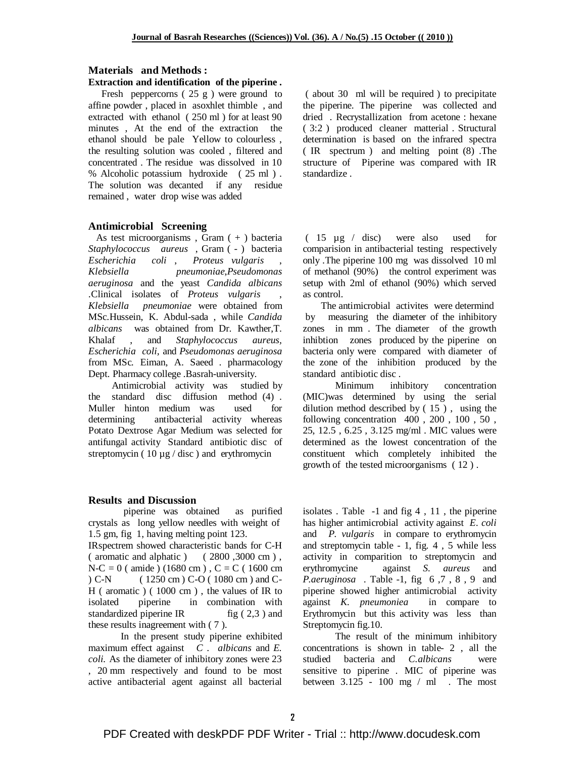#### **Materials and Methods :**

# **Extraction and identification of the piperine .**

 Fresh peppercorns ( 25 g ) were ground to affine powder , placed in asoxhlet thimble , and extracted with ethanol ( 250 ml ) for at least 90 minutes , At the end of the extraction the ethanol should be pale Yellow to colourless , the resulting solution was cooled , filtered and concentrated . The residue was dissolved in 10 % Alcoholic potassium hydroxide ( 25 ml ) . The solution was decanted if any residue remained , water drop wise was added

#### **Antimicrobial Screening**

As test microorganisms, Gram  $(+)$  bacteria *Staphylococcus aureus* , Gram ( - ) bacteria *Escherichia coli* , *Proteus vulgaris* , *Klebsiella pneumoniae*,*Pseudomonas aeruginosa* and the yeast *Candida albicans* .Clinical isolates of *Proteus vulgaris* , *Klebsiella pneumoniae* were obtained from MSc.Hussein, K. Abdul-sada , while *Candida albicans* was obtained from Dr. Kawther,T. Khalaf , and *Staphylococcus aureus, Escherichia coli,* and *Pseudomonas aeruginosa*  from MSc. Eiman, A. Saeed . pharmacology Dept. Pharmacy college .Basrah-university.

 Antimicrobial activity was studied by the standard disc diffusion method (4) . Muller hinton medium was used for determining antibacterial activity whereas Potato Dextrose Agar Medium was selected for antifungal activity Standard antibiotic disc of streptomycin ( $10 \mu$ g / disc) and erythromycin

#### **Results and Discussion**

 piperine was obtained as purified crystals as long yellow needles with weight of 1.5 gm, fig 1, having melting point 123.

IRspectrem showed characteristic bands for C-H ( aromatic and alphatic ) ( 2800 ,3000 cm ) ,  $N-C = 0$  (amide) (1680 cm),  $C = C$  (1600 cm) ) C-N ( 1250 cm ) C-O ( 1080 cm ) and C-H ( aromatic ) ( 1000 cm ) , the values of IR to isolated piperine in combination with standardized piperine IR  $fig(2,3)$  and these results inagreement with ( 7 ).

In the present study piperine exhibited maximum effect against *C . albicans* and *E. coli.* As the diameter of inhibitory zones were 23 , 20 mm respectively and found to be most active antibacterial agent against all bacterial

 ( about 30 ml will be required ) to precipitate the piperine. The piperine was collected and dried . Recrystallization from acetone : hexane ( 3:2 ) produced cleaner matterial . Structural determination is based on the infrared spectra ( IR spectrum ) and melting point (8) .The structure of Piperine was compared with IR standardize .

 ( 15 µg / disc) were also used for comparision in antibacterial testing respectively only .The piperine 100 mg was dissolved 10 ml of methanol (90%) the control experiment was setup with 2ml of ethanol (90%) which served as control.

 The antimicrobial activites were determind by measuring the diameter of the inhibitory zones in mm . The diameter of the growth inhibtion zones produced by the piperine on bacteria only were compared with diameter of the zone of the inhibition produced by the standard antibiotic disc .

Minimum inhibitory concentration (MIC)was determined by using the serial dilution method described by ( 15 ) , using the following concentration 400 , 200 , 100 , 50 , 25, 12.5 , 6.25 , 3.125 mg/ml . MIC values were determined as the lowest concentration of the constituent which completely inhibited the growth of the tested microorganisms ( 12 ) .

isolates . Table -1 and fig 4 , 11 , the piperine has higher antimicrobial activity against *E. coli*  and *P. vulgaris* in compare to erythromycin and streptomycin table - 1, fig. 4 , 5 while less activity in comparition to streptomycin and erythromycine against *S. aureus* and *P.aeruginosa* . Table -1, fig 6 ,7 , 8 , 9 and piperine showed higher antimicrobial activity against *K. pneumoniea* in compare to Erythromycin but this activity was less than Streptomycin fig.10.

The result of the minimum inhibitory concentrations is shown in table- 2 , all the studied bacteria and *C.albicans* were sensitive to piperine . MIC of piperine was between 3.125 - 100 mg / ml . The most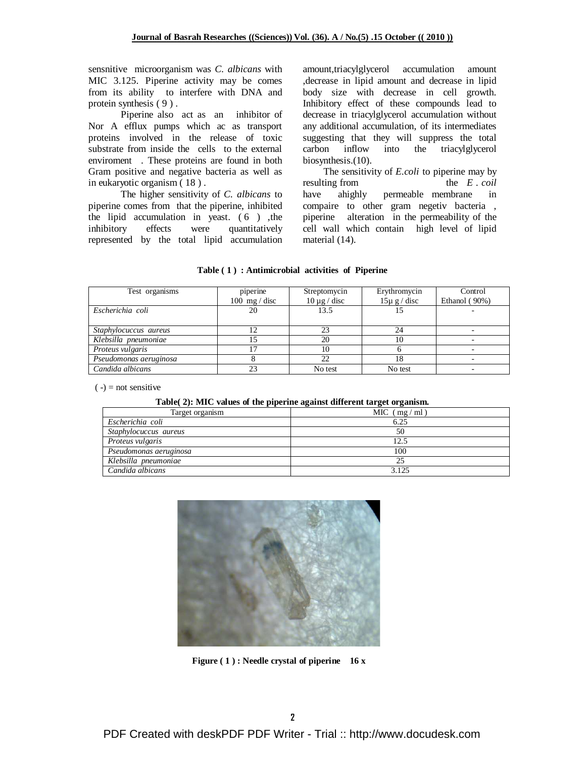sensnitive microorganism was *C. albicans* with MIC 3.125. Piperine activity may be comes from its ability to interfere with DNA and protein synthesis ( 9 ) .

Piperine also act as an inhibitor of Nor A efflux pumps which ac as transport proteins involved in the release of toxic substrate from inside the cells to the external enviroment . These proteins are found in both Gram positive and negative bacteria as well as in eukaryotic organism ( 18 ) .

The higher sensitivity of *C. albicans* to piperine comes from that the piperine, inhibited the lipid accumulation in yeast.  $(6)$ , the inhibitory effects were quantitatively represented by the total lipid accumulation

amount,triacylglycerol accumulation amount ,decrease in lipid amount and decrease in lipid body size with decrease in cell growth. Inhibitory effect of these compounds lead to decrease in triacylglycerol accumulation without any additional accumulation, of its intermediates suggesting that they will suppress the total carbon inflow into the triacylglycerol biosynthesis.(10).

 The sensitivity of *E*.*coli* to piperine may by resulting from the *E* . *coil* have ahighly permeable membrane in compaire to other gram negetiv bacteria , piperine alteration in the permeability of the cell wall which contain high level of lipid material (14).

#### **Table ( 1 ) : Antimicrobial activities of Piperine**

| Test organisms         | piperine                | Streptomycin      | Erythromycin     | Control          |
|------------------------|-------------------------|-------------------|------------------|------------------|
|                        | $100 \text{ mg}$ / disc | $10 \mu g$ / disc | $15\mu$ g / disc | Ethanol $(90\%)$ |
| Escherichia coli       | 20                      | 13.5              |                  |                  |
|                        |                         |                   |                  |                  |
| Staphylocuccus aureus  |                         | 23                | 24               |                  |
| Klebsilla pneumoniae   |                         | 20                | 10               |                  |
| Proteus vulgaris       |                         | 10                |                  |                  |
| Pseudomonas aeruginosa |                         | 22                |                  |                  |
| Candida albicans       |                         | No test           | No test          |                  |

 $($ -) = not sensitive

**Table( 2): MIC values of the piperine against different target organism.**

| Target organism        | MIC (mg/ml) |
|------------------------|-------------|
| Escherichia coli       | 6.25        |
| Staphylocuccus aureus  | 50          |
| Proteus vulgaris       | 12.5        |
| Pseudomonas aeruginosa | 100         |
| Klebsilla pneumoniae   | 25          |
| Candida albicans       | 3 1 2 5     |



**Figure ( 1 ) : Needle crystal of piperine 16 x**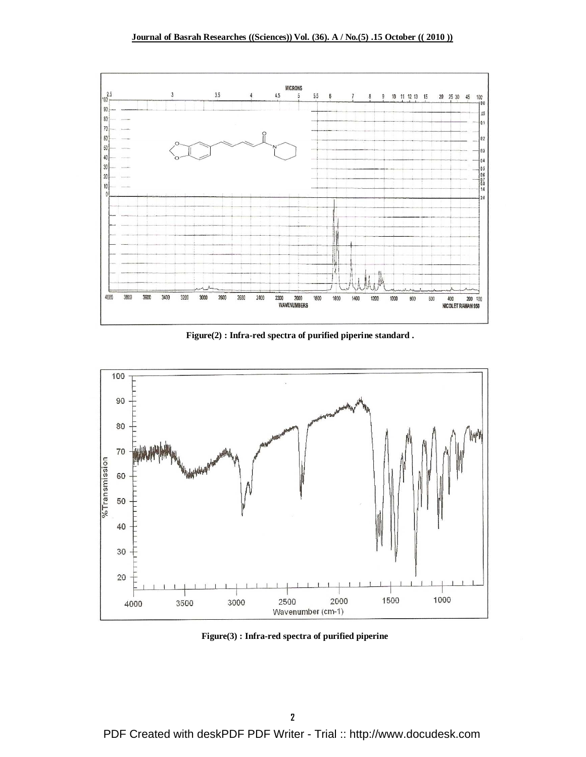

**Figure(2) : Infra-red spectra of purified piperine standard .** 



**Figure(3) : Infra-red spectra of purified piperine**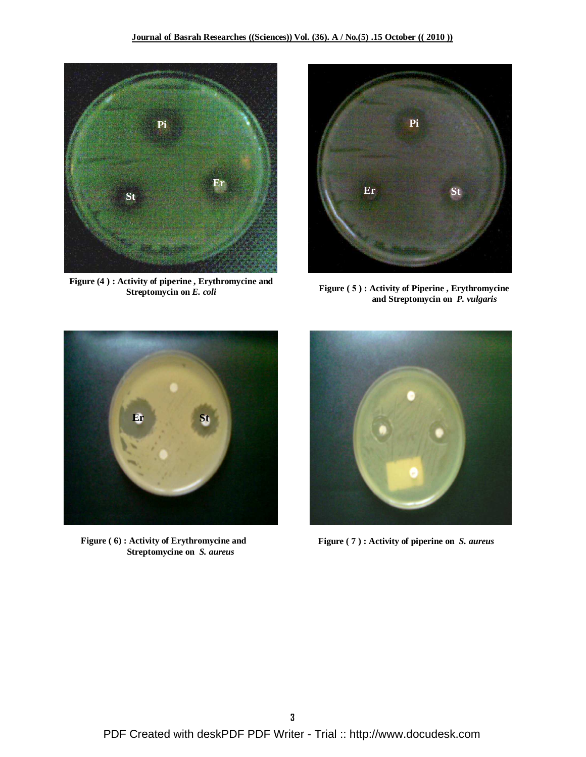

**Figure (4 ) : Activity of piperine , Erythromycine and Streptomycin on** *E. coli*



**Figure (** 5 **) : Activity of Piperine , Erythromycine and Streptomycin on** *P. vulgaris*



**Figure ( 6) : Activity of Erythromycine and Streptomycine on** *S. aureus*



 $\overline{a}$ **Figure ( 7 ) : Activity of piperine on** *S. aureus*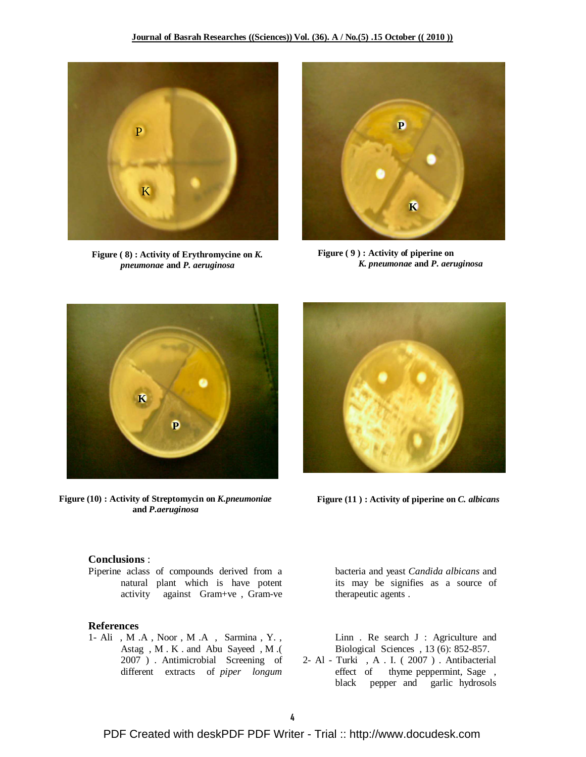

**Figure ( 8) : Activity of Erythromycine on** *K. pneumonae* **and** *P. aeruginosa* 



**Figure ( 9 ) : Activity of piperine on** *K. pneumonae* **and** *P. aeruginosa* 



**Figure (10) : Activity of Streptomycin on** *K.pneumoniae* **and** *P.aeruginosa*



**Figure (11 ) : Activity of piperine on** *C. albicans*

#### **Conclusions** :

Piperine aclass of compounds derived from a natural plant which is have potent activity against Gram+ve , Gram-ve

#### **References**

1- Ali , M .A , Noor , M .A , Sarmina , Y. , Astag , M . K . and Abu Sayeed , M .( 2007 ) . Antimicrobial Screening of different extracts of *piper longum* bacteria and yeast *Candida albicans* and its may be signifies as a source of therapeutic agents .

Linn . Re search J : Agriculture and Biological Sciences , 13 (6): 852-857.

2- Al - Turki , A . I. ( 2007 ) . Antibacterial effect of thyme peppermint, Sage , black pepper and garlic hydrosols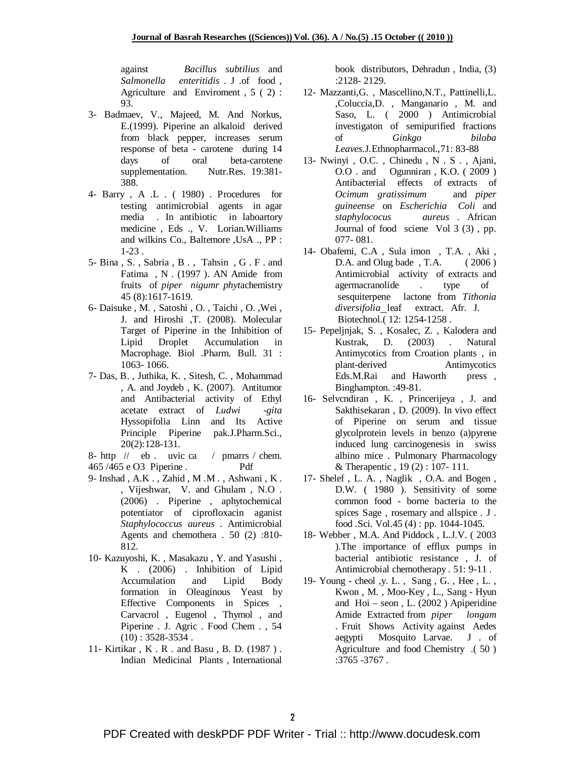against *Bacillus subtilius* and *Salmonella enteritidis* . J .of food , Agriculture and Enviroment , 5 ( 2) : 93.

- 3- Badmaev, V., Majeed, M. And Norkus, E.(1999). Piperine an alkaloid derived from black pepper, increases serum response of beta - carotene during 14 days of oral beta-carotene supplementation. Nutr.Res. 19:381- 388.
- 4- Barry , A .L . ( 1980) . Procedures for testing antimicrobial agents in agar media . In antibiotic in laboartory medicine , Eds ., V. Lorian.Williams and wilkins Co., Baltemore ,UsA ., PP : 1-23 .
- 5- Bina , S. , Sabria , B . , Tahsin , G . F . and Fatima , N . (1997 ). AN Amide from fruits of *piper nigumr phyt*achemistry 45 (8):1617-1619.
- 6- Daisuke , M. , Satoshi , O. , Taichi , O. ,Wei , J. and Hiroshi ,T. (2008). Molecular Target of Piperine in the Inhibition of Lipid Droplet Accumulation in Macrophage. Biol .Pharm. Bull. 31 : 1063- 1066.
- 7- Das, B. , Juthika, K. , Sitesh, C. , Mohammad , A. and Joydeb , K. (2007). Antitumor and Antibacterial activity of Ethyl acetate extract of *Ludwi* -*gita* Hyssopifolia Linn and Its Active Principle Piperine pak.J.Pharm.Sci., 20(2):128-131.
- 8- http // eb . uvic ca / pmarrs / chem. 465 /465 e O3 Piperine . Pdf
- 9- Inshad , A.K . , Zahid , M .M . , Ashwani , K . , Vijeshwar, V. and Ghulam , N.O . (2006) . Piperine , aphytochemical potentiator of ciprofloxacin aganist *Staphylococcus aureus* . Antimicrobial Agents and chemothera . 50 (2) :810- 812.
- 10- Kazuyoshi, K. , Masakazu , Y. and Yasushi , K . (2006) . Inhibition of Lipid Accumulation and Lipid Body formation in Oleaginous Yeast by Effective Components in Spices , Carvacrol , Eugenol , Thymol , and Piperine . J. Agric . Food Chem . , 54  $(10): 3528 - 3534$ .
- 11- Kirtikar , K . R . and Basu , B. D. (1987 ) . Indian Medicinal Plants , International

book distributors, Dehradun , India, (3) :2128- 2129.

- 12- Mazzanti,G. , Mascellino,N.T., Pattinelli,L. ,Coluccia,D. , Manganario , M. and Saso, L. ( 2000 ) Antimicrobial investigaton of semipurified fractions of *Ginkgo biloba Leaves.*J*.*Ethnopharmacol.,71: 83-88
- 13- Nwinyi , O.C. , Chinedu , N . S . , Ajani, O.O . and Ogunniran , K.O. ( 2009 ) Antibacterial effects of extracts of *Ocimum gratissimum* and *piper guineense* on *Escherichia Coli* and *staphylococus aureus* . African Journal of food sciene Vol 3 (3) , pp. 077- 081.
- 14- Obafemi, C.A , Sula imon , T.A. , Aki , D.A. and Olug bade, T.A. (2006) Antimicrobial activity of extracts and agermacranolide . type of sesquiterpene lactone from *Tithonia diversifolia* leaf extract. Afr. J. Biotechnol.( 12: 1254-1258 .
- 15- Pepeljnjak, S. , Kosalec, Z. , Kalodera and Kustrak, D. (2003) . Natural Antimycotics from Croation plants , in plant-derived Antimycotics Eds.M.Rai and Haworth press , Binghampton. :49-81.
- 16- Selvcndiran , K. , Princerijeya , J. and Sakthisekaran , D. (2009). In vivo effect of Piperine on serum and tissue glycolprotein levels in benzo (a)pyrene induced lung carcinogenesis in swiss albino mice . Pulmonary Pharmacology & Therapentic , 19 (2) : 107- 111.
- 17- Shelef , L. A. , Naglik , O.A. and Bogen , D.W. ( 1980 ). Sensitivity of some common food - borne bacteria to the spices Sage , rosemary and allspice . J . food .Sci. Vol.45 (4) : pp. 1044-1045.
- 18- Webber , M.A. And Piddock , L.J.V. ( 2003 ).The importance of efflux pumps in bacterial antibiotic resistance , J. of Antimicrobial chemotherapy . 51: 9-11 .
- 19- Young cheol ,y. L. , Sang , G. , Hee , L. , Kwon , M. , Moo-Key , L., Sang - Hyun and Hoi – seon , L. (2002 ) Apiperidine Amide Extracted from *piper longam* . Fruit Shows Activity against Aedes aegypti Mosquito Larvae. J . of Agriculture and food Chemistry .( 50 ) :3765 -3767 .